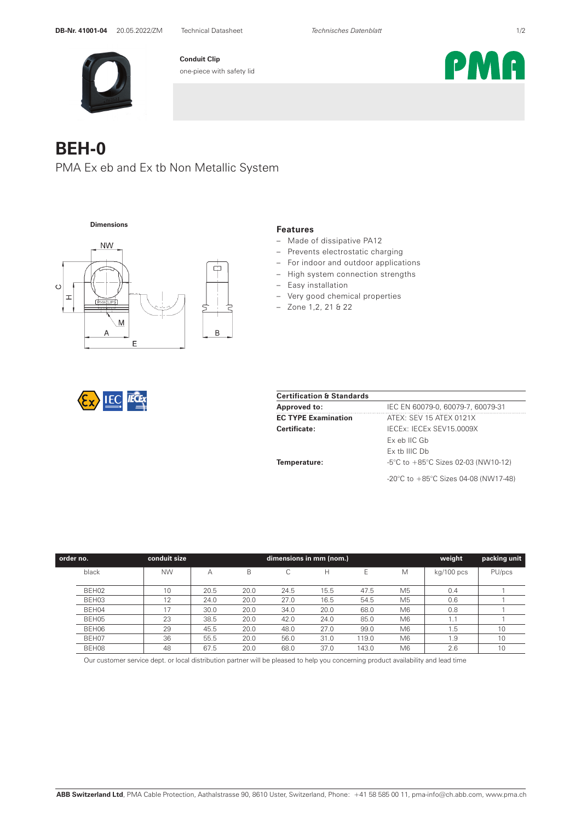

**Conduit Clip** one-piece with safety lid

## **BEH-0**

PMA Ex eb and Ex tb Non Metallic System



## **Features**

- Made of dissipative PA12
- Prevents electrostatic charging
- For indoor and outdoor applications
- High system connection strengths
- Easy installation
- Very good chemical properties
- Zone 1,2, 21 & 22

|--|--|--|

| <b>Certification &amp; Standards</b> |                                                         |  |  |  |  |
|--------------------------------------|---------------------------------------------------------|--|--|--|--|
| <b>Approved to:</b>                  | IEC EN 60079-0, 60079-7, 60079-31                       |  |  |  |  |
| <b>EC TYPE Examination</b>           | ATEX: SEV 15 ATEX 0121X                                 |  |  |  |  |
| Certificate:                         | IECEx: IECEx SEV15.0009X                                |  |  |  |  |
|                                      | Ex eb IIC Gb                                            |  |  |  |  |
|                                      | Ex tb IIIC Db                                           |  |  |  |  |
| Temperature:                         | $-5^{\circ}$ C to $+85^{\circ}$ C Sizes 02-03 (NW10-12) |  |  |  |  |
|                                      | -20°C to $+85^{\circ}$ C Sizes 04-08 (NW17-48)          |  |  |  |  |

| order no. | conduit size | dimensions in mm (nom.) |      |      |      | weight | packing unit   |            |        |
|-----------|--------------|-------------------------|------|------|------|--------|----------------|------------|--------|
| black     | <b>NW</b>    | А                       | B    |      | н    | E      | M              | kg/100 pcs | PU/pcs |
|           |              |                         |      |      |      |        |                |            |        |
| BEH02     | 10           | 20.5                    | 20.0 | 24.5 | 15.5 | 47.5   | M <sub>5</sub> | 0.4        |        |
| BEH03     | 12           | 24.0                    | 20.0 | 27.0 | 16.5 | 54.5   | M <sub>5</sub> | 0.6        |        |
| BEH04     | 17           | 30.0                    | 20.0 | 34.0 | 20.0 | 68.0   | M <sub>6</sub> | 0.8        |        |
| BEH05     | 23           | 38.5                    | 20.0 | 42.0 | 24.0 | 85.0   | M <sub>6</sub> |            |        |
| BEH06     | 29           | 45.5                    | 20.0 | 48.0 | 27.0 | 99.0   | M <sub>6</sub> | . 5        | 10     |
| BEH07     | 36           | 55.5                    | 20.0 | 56.0 | 31.0 | 119.0  | M <sub>6</sub> | l.9        | 10     |
| BEH08     | 48           | 67.5                    | 20.0 | 68.0 | 37.0 | 143.0  | M <sub>6</sub> | 2.6        | 10     |

Our customer service dept. or local distribution partner will be pleased to help you concerning product availability and lead time

PMA